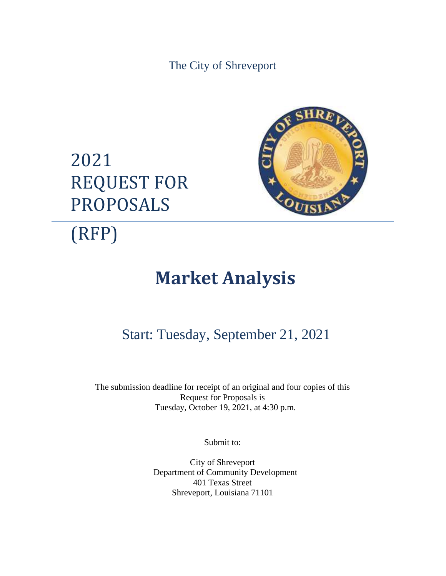The City of Shreveport





(RFP)

# **Market Analysis**

# Start: Tuesday, September 21, 2021

The submission deadline for receipt of an original and <u>four</u> copies of this Request for Proposals is Tuesday, October 19, 2021, at 4:30 p.m.

Submit to:

City of Shreveport Department of Community Development 401 Texas Street Shreveport, Louisiana 71101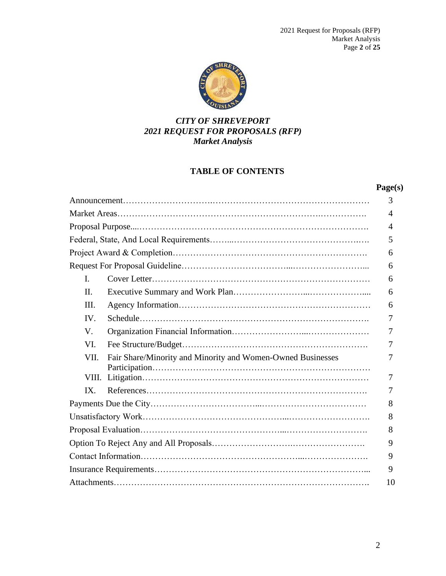

# *CITY OF SHREVEPORT 2021 REQUEST FOR PROPOSALS (RFP) Market Analysis*

# **TABLE OF CONTENTS**

## **Page(s)**

|       |                                                             | 3  |
|-------|-------------------------------------------------------------|----|
|       |                                                             | 4  |
|       |                                                             | 4  |
|       |                                                             | 5  |
|       |                                                             | 6  |
|       |                                                             | 6  |
| L.    |                                                             | 6  |
| II.   |                                                             | 6  |
| Ш.    |                                                             | 6  |
| IV.   |                                                             | 7  |
| V.    |                                                             | 7  |
| VI.   |                                                             | 7  |
| VII.  | Fair Share/Minority and Minority and Women-Owned Businesses | 7  |
| VIII. |                                                             | 7  |
| IX.   |                                                             | 7  |
|       |                                                             | 8  |
|       |                                                             | 8  |
|       |                                                             | 8  |
|       |                                                             | 9  |
|       |                                                             | 9  |
|       |                                                             | 9  |
|       |                                                             | 10 |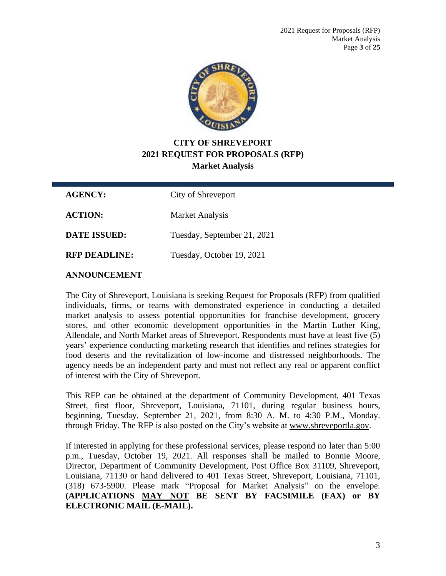

# **CITY OF SHREVEPORT 2021 REQUEST FOR PROPOSALS (RFP) Market Analysis**

**AGENCY:** City of Shreveport **ACTION:** Market Analysis

**DATE ISSUED:** Tuesday, September 21, 2021

**RFP DEADLINE:** Tuesday, October 19, 2021

## **ANNOUNCEMENT**

The City of Shreveport, Louisiana is seeking Request for Proposals (RFP) from qualified individuals, firms, or teams with demonstrated experience in conducting a detailed market analysis to assess potential opportunities for franchise development, grocery stores, and other economic development opportunities in the Martin Luther King, Allendale, and North Market areas of Shreveport. Respondents must have at least five (5) years' experience conducting marketing research that identifies and refines strategies for food deserts and the revitalization of low-income and distressed neighborhoods. The agency needs be an independent party and must not reflect any real or apparent conflict of interest with the City of Shreveport.

This RFP can be obtained at the department of Community Development, 401 Texas Street, first floor, Shreveport, Louisiana, 71101, during regular business hours, beginning, Tuesday, September 21, 2021, from 8:30 A. M. to 4:30 P.M., Monday. through Friday. The RFP is also posted on the City's website at [www.shreveportla.gov.](http://www.shreveportla.gov/)

If interested in applying for these professional services, please respond no later than 5:00 p.m., Tuesday, October 19, 2021. All responses shall be mailed to Bonnie Moore, Director, Department of Community Development, Post Office Box 31109, Shreveport, Louisiana, 71130 or hand delivered to 401 Texas Street, Shreveport, Louisiana, 71101, (318) 673-5900. Please mark "Proposal for Market Analysis" on the envelope. **(APPLICATIONS MAY NOT BE SENT BY FACSIMILE (FAX) or BY ELECTRONIC MAIL (E-MAIL).**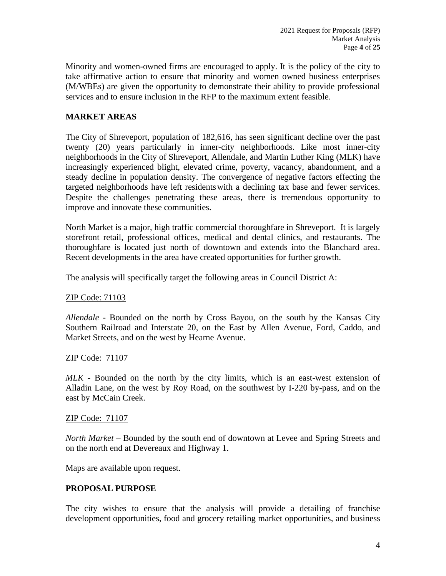Minority and women-owned firms are encouraged to apply. It is the policy of the city to take affirmative action to ensure that minority and women owned business enterprises (M/WBEs) are given the opportunity to demonstrate their ability to provide professional services and to ensure inclusion in the RFP to the maximum extent feasible.

## **MARKET AREAS**

The City of Shreveport, population of 182,616, has seen significant decline over the past twenty (20) years particularly in inner-city neighborhoods. Like most inner-city neighborhoods in the City of Shreveport, Allendale, and Martin Luther King (MLK) have increasingly experienced blight, elevated crime, poverty, vacancy, abandonment, and a steady decline in population density. The convergence of negative factors effecting the targeted neighborhoods have left residentswith a declining tax base and fewer services. Despite the challenges penetrating these areas, there is tremendous opportunity to improve and innovate these communities.

North Market is a major, high traffic commercial thoroughfare in Shreveport. It is largely storefront retail, professional offices, medical and dental clinics, and restaurants. The thoroughfare is located just north of downtown and extends into the Blanchard area. Recent developments in the area have created opportunities for further growth.

The analysis will specifically target the following areas in Council District A:

## ZIP Code: 71103

*Allendale* - Bounded on the north by Cross Bayou, on the south by the Kansas City Southern Railroad and Interstate 20, on the East by Allen Avenue, Ford, Caddo, and Market Streets, and on the west by Hearne Avenue.

## ZIP Code: 71107

*MLK* - Bounded on the north by the city limits, which is an east-west extension of Alladin Lane, on the west by Roy Road, on the southwest by I-220 by-pass, and on the east by McCain Creek.

## ZIP Code: 71107

*North Market* – Bounded by the south end of downtown at Levee and Spring Streets and on the north end at Devereaux and Highway 1.

Maps are available upon request.

## **PROPOSAL PURPOSE**

The city wishes to ensure that the analysis will provide a detailing of franchise development opportunities, food and grocery retailing market opportunities, and business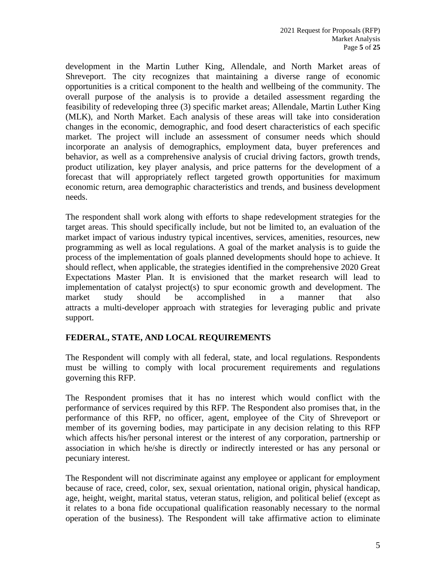development in the Martin Luther King, Allendale, and North Market areas of Shreveport. The city recognizes that maintaining a diverse range of economic opportunities is a critical component to the health and wellbeing of the community. The overall purpose of the analysis is to provide a detailed assessment regarding the feasibility of redeveloping three (3) specific market areas; Allendale, Martin Luther King (MLK), and North Market. Each analysis of these areas will take into consideration changes in the economic, demographic, and food desert characteristics of each specific market. The project will include an assessment of consumer needs which should incorporate an analysis of demographics, employment data, buyer preferences and behavior, as well as a comprehensive analysis of crucial driving factors, growth trends, product utilization, key player analysis, and price patterns for the development of a forecast that will appropriately reflect targeted growth opportunities for maximum economic return, area demographic characteristics and trends, and business development needs.

The respondent shall work along with efforts to shape redevelopment strategies for the target areas. This should specifically include, but not be limited to, an evaluation of the market impact of various industry typical incentives, services, amenities, resources, new programming as well as local regulations. A goal of the market analysis is to guide the process of the implementation of goals planned developments should hope to achieve. It should reflect, when applicable, the strategies identified in the comprehensive 2020 Great Expectations Master Plan. It is envisioned that the market research will lead to implementation of catalyst project(s) to spur economic growth and development. The market study should be accomplished in a manner that also attracts a multi-developer approach with strategies for leveraging public and private support.

## **FEDERAL, STATE, AND LOCAL REQUIREMENTS**

The Respondent will comply with all federal, state, and local regulations. Respondents must be willing to comply with local procurement requirements and regulations governing this RFP.

The Respondent promises that it has no interest which would conflict with the performance of services required by this RFP. The Respondent also promises that, in the performance of this RFP, no officer, agent, employee of the City of Shreveport or member of its governing bodies, may participate in any decision relating to this RFP which affects his/her personal interest or the interest of any corporation, partnership or association in which he/she is directly or indirectly interested or has any personal or pecuniary interest.

The Respondent will not discriminate against any employee or applicant for employment because of race, creed, color, sex, sexual orientation, national origin, physical handicap, age, height, weight, marital status, veteran status, religion, and political belief (except as it relates to a bona fide occupational qualification reasonably necessary to the normal operation of the business). The Respondent will take affirmative action to eliminate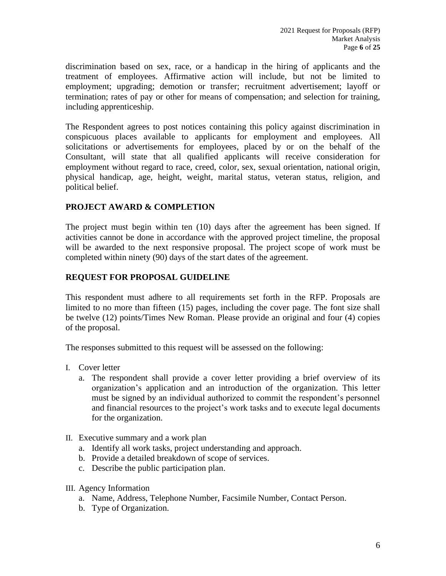discrimination based on sex, race, or a handicap in the hiring of applicants and the treatment of employees. Affirmative action will include, but not be limited to employment; upgrading; demotion or transfer; recruitment advertisement; layoff or termination; rates of pay or other for means of compensation; and selection for training, including apprenticeship.

The Respondent agrees to post notices containing this policy against discrimination in conspicuous places available to applicants for employment and employees. All solicitations or advertisements for employees, placed by or on the behalf of the Consultant, will state that all qualified applicants will receive consideration for employment without regard to race, creed, color, sex, sexual orientation, national origin, physical handicap, age, height, weight, marital status, veteran status, religion, and political belief.

## **PROJECT AWARD & COMPLETION**

The project must begin within ten (10) days after the agreement has been signed. If activities cannot be done in accordance with the approved project timeline, the proposal will be awarded to the next responsive proposal. The project scope of work must be completed within ninety (90) days of the start dates of the agreement.

## **REQUEST FOR PROPOSAL GUIDELINE**

This respondent must adhere to all requirements set forth in the RFP. Proposals are limited to no more than fifteen (15) pages, including the cover page. The font size shall be twelve (12) points/Times New Roman. Please provide an original and four (4) copies of the proposal.

The responses submitted to this request will be assessed on the following:

- I. Cover letter
	- a. The respondent shall provide a cover letter providing a brief overview of its organization's application and an introduction of the organization. This letter must be signed by an individual authorized to commit the respondent's personnel and financial resources to the project's work tasks and to execute legal documents for the organization.
- II. Executive summary and a work plan
	- a. Identify all work tasks, project understanding and approach.
	- b. Provide a detailed breakdown of scope of services.
	- c. Describe the public participation plan.
- III. Agency Information
	- a. Name, Address, Telephone Number, Facsimile Number, Contact Person.
	- b. Type of Organization.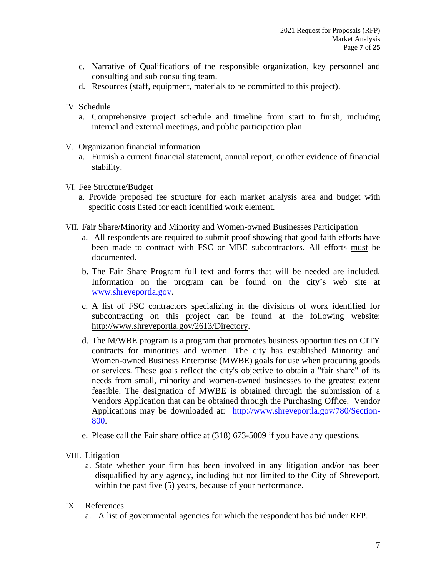- c. Narrative of Qualifications of the responsible organization, key personnel and consulting and sub consulting team.
- d. Resources (staff, equipment, materials to be committed to this project).
- IV. Schedule
	- a. Comprehensive project schedule and timeline from start to finish, including internal and external meetings, and public participation plan.
- V. Organization financial information
	- a. Furnish a current financial statement, annual report, or other evidence of financial stability.
- VI. Fee Structure/Budget
	- a. Provide proposed fee structure for each market analysis area and budget with specific costs listed for each identified work element.
- VII. Fair Share/Minority and Minority and Women-owned Businesses Participation
	- a. All respondents are required to submit proof showing that good faith efforts have been made to contract with FSC or MBE subcontractors. All efforts must be documented.
	- b. The Fair Share Program full text and forms that will be needed are included. Information on the program can be found on the city's web site at [www.shreveportla.gov.](http://www.shreveportla.gov/)
	- c. A list of FSC contractors specializing in the divisions of work identified for subcontracting on this project can be found at the following website: [http://www.shreveportla.gov/2613/Directory.](http://www.shreveportla.gov/2613/Directory)
	- d. The M/WBE program is a program that promotes business opportunities on CITY contracts for minorities and women. The city has established Minority and Women-owned Business Enterprise (MWBE) goals for use when procuring goods or services. These goals reflect the city's objective to obtain a "fair share" of its needs from small, minority and women-owned businesses to the greatest extent feasible. The designation of MWBE is obtained through the submission of a Vendors Application that can be obtained through the Purchasing Office. Vendor Applications may be downloaded at: [http://www.shreveportla.gov/780/Section-](http://www.shreveportla.gov/780/Section-800)[800.](http://www.shreveportla.gov/780/Section-800)
	- e. Please call the Fair share office at (318) 673-5009 if you have any questions.
- VIII. Litigation
	- a. State whether your firm has been involved in any litigation and/or has been disqualified by any agency, including but not limited to the City of Shreveport, within the past five (5) years, because of your performance.
- IX. References
	- a. A list of governmental agencies for which the respondent has bid under RFP.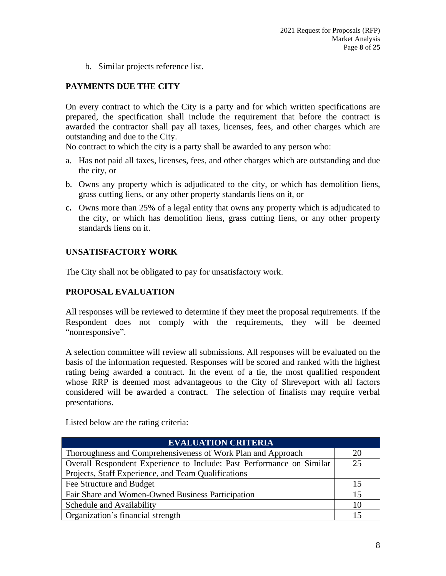b. Similar projects reference list.

# **PAYMENTS DUE THE CITY**

On every contract to which the City is a party and for which written specifications are prepared, the specification shall include the requirement that before the contract is awarded the contractor shall pay all taxes, licenses, fees, and other charges which are outstanding and due to the City.

No contract to which the city is a party shall be awarded to any person who:

- a. Has not paid all taxes, licenses, fees, and other charges which are outstanding and due the city, or
- b. Owns any property which is adjudicated to the city, or which has demolition liens, grass cutting liens, or any other property standards liens on it, or
- **c.** Owns more than 25% of a legal entity that owns any property which is adjudicated to the city, or which has demolition liens, grass cutting liens, or any other property standards liens on it.

## **UNSATISFACTORY WORK**

The City shall not be obligated to pay for unsatisfactory work.

## **PROPOSAL EVALUATION**

All responses will be reviewed to determine if they meet the proposal requirements. If the Respondent does not comply with the requirements, they will be deemed "nonresponsive".

A selection committee will review all submissions. All responses will be evaluated on the basis of the information requested. Responses will be scored and ranked with the highest rating being awarded a contract. In the event of a tie, the most qualified respondent whose RRP is deemed most advantageous to the City of Shreveport with all factors considered will be awarded a contract. The selection of finalists may require verbal presentations.

Listed below are the rating criteria:

| <b>EVALUATION CRITERIA</b>                                            |    |
|-----------------------------------------------------------------------|----|
| Thoroughness and Comprehensiveness of Work Plan and Approach          | 20 |
| Overall Respondent Experience to Include: Past Performance on Similar | 25 |
| Projects, Staff Experience, and Team Qualifications                   |    |
| Fee Structure and Budget                                              | 15 |
| Fair Share and Women-Owned Business Participation                     | 15 |
| Schedule and Availability                                             | 10 |
| Organization's financial strength                                     |    |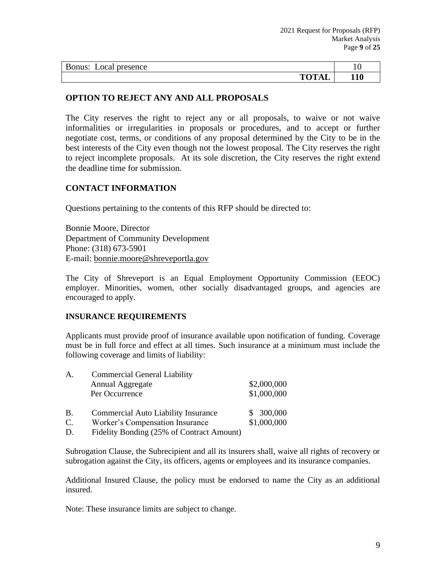| Bonus:<br>Local presence | 10  |
|--------------------------|-----|
| <b>TOTAL</b>             | 110 |

## **OPTION TO REJECT ANY AND ALL PROPOSALS**

The City reserves the right to reject any or all proposals, to waive or not waive informalities or irregularities in proposals or procedures, and to accept or further negotiate cost, terms, or conditions of any proposal determined by the City to be in the best interests of the City even though not the lowest proposal. The City reserves the right to reject incomplete proposals. At its sole discretion, the City reserves the right extend the deadline time for submission.

## **CONTACT INFORMATION**

Questions pertaining to the contents of this RFP should be directed to:

Bonnie Moore, Director Department of Community Development Phone: (318) 673-5901 E-mail: [bonnie.moore@shreveportla.gov](mailto:bonnie.moore@shreveportla.gov)

The City of Shreveport is an Equal Employment Opportunity Commission (EEOC) employer. Minorities, women, other socially disadvantaged groups, and agencies are encouraged to apply.

## **INSURANCE REQUIREMENTS**

Applicants must provide proof of insurance available upon notification of funding. Coverage must be in full force and effect at all times. Such insurance at a minimum must include the following coverage and limits of liability:

| Α.             | <b>Commercial General Liability</b>        |             |
|----------------|--------------------------------------------|-------------|
|                | Annual Aggregate                           | \$2,000,000 |
|                | Per Occurrence                             | \$1,000,000 |
|                |                                            |             |
| Β.             | <b>Commercial Auto Liability Insurance</b> | \$300,000   |
| $\mathsf{C}$ . | Worker's Compensation Insurance            | \$1,000,000 |
| D.             | Fidelity Bonding (25% of Contract Amount)  |             |

Subrogation Clause, the Subrecipient and all its insurers shall, waive all rights of recovery or subrogation against the City, its officers, agents or employees and its insurance companies.

Additional Insured Clause, the policy must be endorsed to name the City as an additional insured.

Note: These insurance limits are subject to change.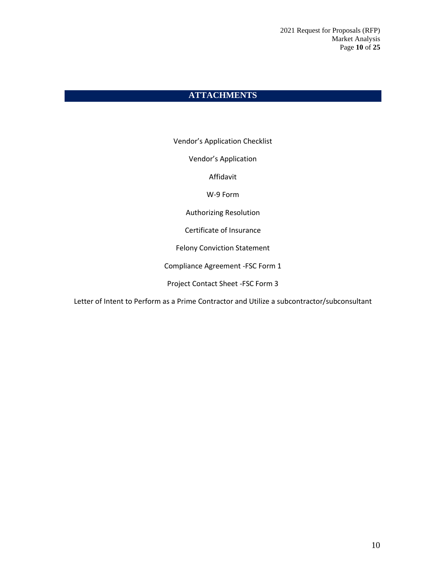# **ATTACHMENTS**

Vendor's Application Checklist

Vendor's Application

Affidavit

W-9 Form

Authorizing Resolution

Certificate of Insurance

Felony Conviction Statement

Compliance Agreement -FSC Form 1

Project Contact Sheet -FSC Form 3

Letter of Intent to Perform as a Prime Contractor and Utilize a subcontractor/subconsultant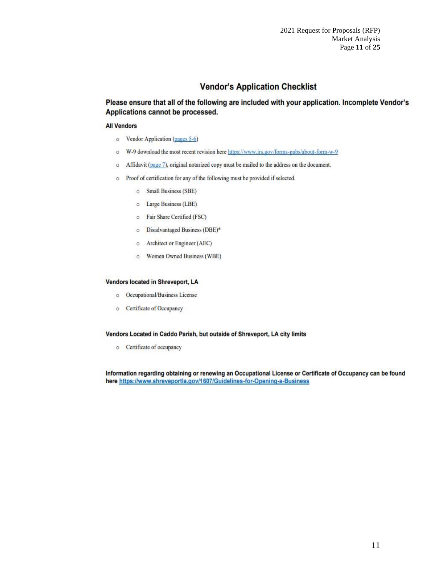# **Vendor's Application Checklist**

Please ensure that all of the following are included with your application. Incomplete Vendor's Applications cannot be processed.

#### **All Vendors**

- o Vendor Application (pages 5-6)
- W-9 download the most recent revision here https://www.irs.gov/forms-pubs/about-form-w-9  $\circ$
- Affidavit (page 7), original notarized copy must be mailed to the address on the document.  $\circ$
- o Proof of certification for any of the following must be provided if selected.
	- $\circ$ Small Business (SBE)
	- o Large Business (LBE)
	- o Fair Share Certified (FSC)
	- o Disadvantaged Business (DBE)\*
	- Architect or Engineer (AEC)  $\circ$
	- o Women Owned Business (WBE)

#### Vendors located in Shreveport, LA

- o Occupational/Business License
- **Certificate of Occupancy**

#### Vendors Located in Caddo Parish, but outside of Shreveport, LA city limits

o Certificate of occupancy

Information regarding obtaining or renewing an Occupational License or Certificate of Occupancy can be found here https://www.shreveportla.gov/1607/Guidelines-for-Opening-a-Business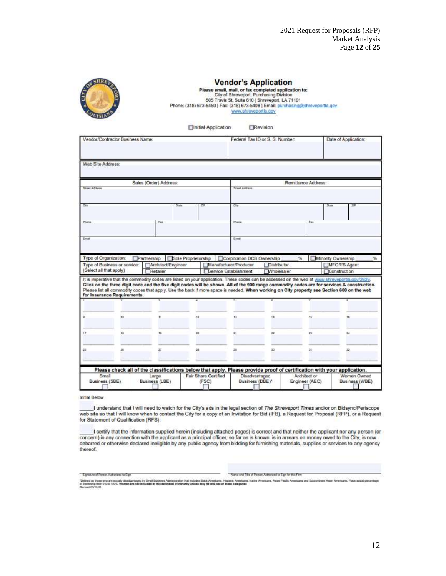

## **Vendor's Application**

Please email, mail, or fax completed application to:<br>City of Shreveport, Purchasing Division<br>505 Travis St, Suite 610 | Shreveport, LA 71101 Phone: (318) 673-5450 | Fax: (318) 673-5408 | Email: purchasing@shreveportla.gov www.shreveportla.gov

> **Elinitial Application** Revision

|                   | Vendor/Contractor Business Name:                        |                                                                                                                                            |    |                                                | Federal Tax ID or S. S. Number:         |                     | Date of Application:                                                                                                                                                                                                                                                                          |
|-------------------|---------------------------------------------------------|--------------------------------------------------------------------------------------------------------------------------------------------|----|------------------------------------------------|-----------------------------------------|---------------------|-----------------------------------------------------------------------------------------------------------------------------------------------------------------------------------------------------------------------------------------------------------------------------------------------|
| Web Site Address: |                                                         |                                                                                                                                            |    |                                                |                                         |                     |                                                                                                                                                                                                                                                                                               |
|                   |                                                         | Sales (Order) Address:                                                                                                                     |    |                                                |                                         | Remittance Address: |                                                                                                                                                                                                                                                                                               |
| Street Address    |                                                         |                                                                                                                                            |    | Sheet Address                                  |                                         |                     |                                                                                                                                                                                                                                                                                               |
| City              |                                                         | State                                                                                                                                      | χh | City                                           |                                         |                     | Skete<br>力甲                                                                                                                                                                                                                                                                                   |
| Phone             |                                                         | Fax                                                                                                                                        |    | Phone                                          |                                         | Fair                |                                                                                                                                                                                                                                                                                               |
| Email             |                                                         |                                                                                                                                            |    | Email:                                         |                                         |                     |                                                                                                                                                                                                                                                                                               |
|                   |                                                         |                                                                                                                                            |    |                                                |                                         |                     |                                                                                                                                                                                                                                                                                               |
|                   | Type of Organization:                                   | Partnership Sole Proprietorship                                                                                                            |    | Corporation DCB Ownership                      |                                         | %                   | Minority Ownership<br>$\frac{1}{2}$                                                                                                                                                                                                                                                           |
|                   | Type of Business or service:<br>(Select all that apply) | Architect/Engineer<br>Retailer                                                                                                             |    | Manufacturer/Producer<br>Bervice Establishment | <b>Distributor</b><br><b>Mholesaler</b> |                     | MFGR'S Agent<br>Construction                                                                                                                                                                                                                                                                  |
|                   | for Insurance Requirements.                             | Please list all commodity codes that apply. Use the back if more space is needed. When working on City property see Section 600 on the web |    |                                                |                                         |                     | It is imperative that the commodity codes are listed on your application. These codes can be accessed on the web at www.shreveportia.gov/2626.<br>Click on the three digit code and the five digit codes will be shown. All of the 900 range commodity codes are for services & construction. |
|                   |                                                         |                                                                                                                                            |    |                                                |                                         |                     |                                                                                                                                                                                                                                                                                               |
|                   |                                                         |                                                                                                                                            |    |                                                |                                         |                     |                                                                                                                                                                                                                                                                                               |
|                   | 10                                                      | Ħ                                                                                                                                          | 12 | tà                                             | 14                                      | 15                  | 16                                                                                                                                                                                                                                                                                            |
| ŸŹ                | 18                                                      | 10                                                                                                                                         | 20 | 21                                             | 22                                      | 23.                 | $\mathbb{R}$                                                                                                                                                                                                                                                                                  |
| 25                | 56                                                      | 27                                                                                                                                         | 24 | 29                                             | 30                                      | 2ł.                 | 32                                                                                                                                                                                                                                                                                            |
|                   |                                                         | Please check all of the classifications below that apply. Please provide proof of certification with your application.                     |    |                                                |                                         |                     |                                                                                                                                                                                                                                                                                               |

**Initial Below** 

I understand that I will need to watch for the City's ads in the legal section of The Shreveport Times and/or on Bidsync/Periscope<br>web site so that I will know when to contact the City for a copy of an Invitation for Bid (

I certify that the information supplied herein (including attached pages) is correct and that neither the applicant nor any person (or concern) in any connection with the applicant as a principal officer, so far as is known, is in arrears on money owed to the City, is now debarred or otherwise declared ineligible by any public agency from bidding for furnishing materials, supplies or services to any agency thereof.

Signalure of Person Authorized to Sign

Name and Title of Person Authorized to Sign for this Firm

Telred as then who aw annaly deadverteged by Small Business Administration that wisdex Black Americans, Heppen: Americans, Males Americans, Asian Pactic Americans and Subcontrant Asian Americans. Place actual person<br>Mevise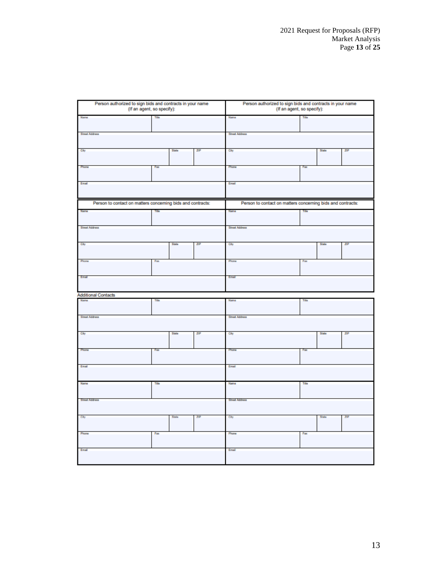| Person authorized to sign bids and contracts in your name<br>(If an agent, so specify): |       |       |     | Person authorized to sign bids and contracts in your name<br>(If an agent, so specify): |           |       |     |
|-----------------------------------------------------------------------------------------|-------|-------|-----|-----------------------------------------------------------------------------------------|-----------|-------|-----|
| Name                                                                                    | Title |       |     | Name                                                                                    | Title     |       |     |
| Street Address                                                                          |       |       |     | <b>Street Address</b>                                                                   |           |       |     |
| City                                                                                    |       | State | ZΡ  | City                                                                                    |           | State | ZIP |
| Phone                                                                                   | Fax   |       |     | Phone                                                                                   | Fao       |       |     |
| Email                                                                                   |       |       |     | Ernal                                                                                   |           |       |     |
| Person to contact on matters concerning bids and contracts:                             |       |       |     | Person to contact on matters concerning bids and contracts:                             |           |       |     |
|                                                                                         |       |       |     | Name                                                                                    |           |       |     |
| Street Address                                                                          |       |       |     | <b>Street Address</b>                                                                   |           |       |     |
| City                                                                                    |       | State | ZIP | City                                                                                    |           | State | ZIP |
| Phone                                                                                   | Fax   |       |     | Phone                                                                                   | Fax       |       |     |
| Email                                                                                   |       |       |     | Email                                                                                   |           |       |     |
| <b>Additional Contacts</b>                                                              |       |       |     |                                                                                         |           |       |     |
| Name                                                                                    | Tele  |       |     | Name                                                                                    | Title     |       |     |
| Street Address                                                                          |       |       |     | <b>Street Address</b>                                                                   |           |       |     |
| City                                                                                    |       | State | ZIP | City                                                                                    |           | State | ZIP |
| Phone                                                                                   | Fax   |       |     | Phone                                                                                   | <b>RD</b> |       |     |
| Email                                                                                   |       |       |     | Email                                                                                   |           |       |     |
| Name                                                                                    | Tris  |       |     | Name                                                                                    | Title     |       |     |
| <b>Street Address</b>                                                                   |       |       |     | <b>Street Address</b>                                                                   |           |       |     |
| City                                                                                    |       | State | ZP  | City                                                                                    |           | State | ZIP |
| Phone                                                                                   | Fax   |       |     | Phone                                                                                   | Fax       |       |     |
| Ernal                                                                                   |       |       |     | Ernal                                                                                   |           |       |     |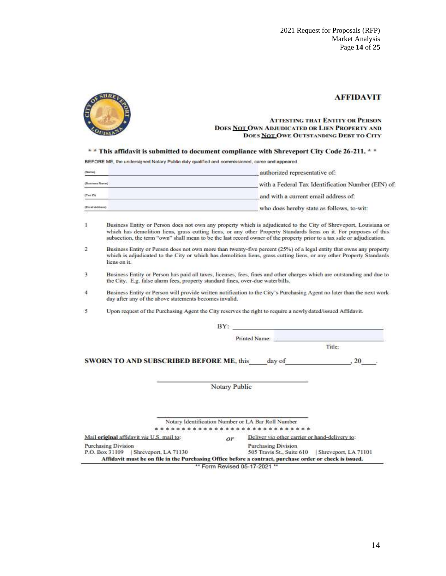

### **AFFIDAVIT**

#### **ATTESTING THAT ENTITY OR PERSON** DOES NOT OWN ADJUDICATED OR LIEN PROPERTY AND **DOES NOT OWE OUTSTANDING DEBT TO CITY**

\*\* This affidavit is submitted to document compliance with Shreveport City Code 26-211. \*\*

BEFORE ME, the undersigned Notary Public duly qualified and commissioned, came and appeared

| (Name)             | authorized representative of:                      |
|--------------------|----------------------------------------------------|
| (Business Name)    | with a Federal Tax Identification Number (EIN) of: |
| $(7\text{ns } 10)$ | and with a current email address of:               |
| (Email Address)    | who does hereby state as follows, to-wit:          |

- Business Entity or Person does not own any property which is adjudicated to the City of Shreveport, Louisiana or  $\mathbf{1}$ which has demolition liens, grass cutting liens, or any other Property Standards liens on it. For purposes of this subsection, the term "own" shall mean to be the last record owner of the property prior to a tax sale or adjudication.
- Business Entity or Person does not own more than twenty-five percent (25%) of a legal entity that owns any property  $\sigma$ which is adjudicated to the City or which has demolition liens, grass cutting liens, or any other Property Standards liens on it.
- 3 Business Entity or Person has paid all taxes, licenses, fees, fines and other charges which are outstanding and due to the City. E.g. false alarm fees, property standard fines, over-due water bills.
- Business Entity or Person will provide written notification to the City's Purchasing Agent no later than the next work day after any of the above statements becomes invalid.  $\overline{4}$
- 5 Upon request of the Purchasing Agent the City reserves the right to require a newly dated/issued Affidavit.

|                                                                                                          | BY:           |                                                    |                      |
|----------------------------------------------------------------------------------------------------------|---------------|----------------------------------------------------|----------------------|
|                                                                                                          |               | Printed Name:                                      |                      |
|                                                                                                          |               |                                                    | Title:               |
| <b>SWORN TO AND SUBSCRIBED BEFORE ME, this</b>                                                           |               | day of                                             | .20                  |
|                                                                                                          | Notary Public |                                                    |                      |
|                                                                                                          |               |                                                    |                      |
|                                                                                                          |               | Notary Identification Number or LA Bar Roll Number |                      |
|                                                                                                          |               |                                                    |                      |
| Mail original affidavit via U.S. mail to:                                                                | or            | Deliver via other carrier or hand-delivery to:     |                      |
| <b>Purchasing Division</b><br>P.O. Box 31109<br>Shreveport, LA 71130                                     |               | Purchasing Division<br>505 Travis St., Suite 610   | Shreveport, LA 71101 |
| Affidavit must be on file in the Purchasing Office before a contract, purchase order or check is issued. |               | ** Form Revised 05-17-2021 **                      |                      |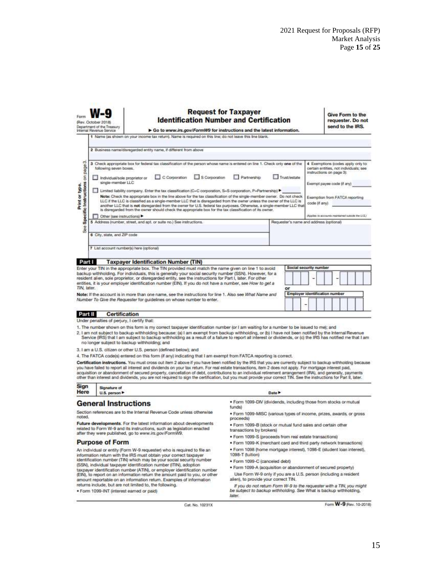|                                                      | Rev. October 2018)<br>Department of the Treasury<br>Internal Revenue Service                             | Go to www.irs.gov/FormW9 for instructions and the latest information.                                                                                                                                                                                                                                                                                                                                                                                                                                                                                                                                                                                                                                                                           | <b>Request for Taxpayer</b><br><b>Identification Number and Certification</b> |             |                                         |               |                          | Give Form to the<br>requester. Do not<br>send to the IRS.                                                                                                                                      |  |
|------------------------------------------------------|----------------------------------------------------------------------------------------------------------|-------------------------------------------------------------------------------------------------------------------------------------------------------------------------------------------------------------------------------------------------------------------------------------------------------------------------------------------------------------------------------------------------------------------------------------------------------------------------------------------------------------------------------------------------------------------------------------------------------------------------------------------------------------------------------------------------------------------------------------------------|-------------------------------------------------------------------------------|-------------|-----------------------------------------|---------------|--------------------------|------------------------------------------------------------------------------------------------------------------------------------------------------------------------------------------------|--|
|                                                      |                                                                                                          | 1 Name (as shown on your income tax return). Name is required on this line; do not leave this line blank.                                                                                                                                                                                                                                                                                                                                                                                                                                                                                                                                                                                                                                       |                                                                               |             |                                         |               |                          |                                                                                                                                                                                                |  |
|                                                      |                                                                                                          | 2 Business name/disregarded entity name, if different from above                                                                                                                                                                                                                                                                                                                                                                                                                                                                                                                                                                                                                                                                                |                                                                               |             |                                         |               |                          |                                                                                                                                                                                                |  |
| ಪ<br>Specific Instructions on page<br>Print or type. | following seven boxes.<br>Individual/sole proprietor or<br>single-member LLC<br>Other (see instructions) | 3 Check appropriate box for federal tax classification of the person whose name is entered on line 1. Check only one of the<br>C Corporation<br>Limited liability company. Enter the tax classification (C=C corporation, S=S corporation, P=Partnership)<br>Note: Check the appropriate box in the line above for the tax classification of the single-member owner. Do not check<br>LLC if the LLC is classified as a single-member LLC that is disregarded from the owner unless the owner of the LLC is<br>another LLC that is not disregarded from the owner for U.S. federal tax purposes. Otherwise, a single-member LLC that<br>is disregarded from the owner should check the appropriate box for the tax classification of its owner. | S Corporation                                                                 | Partnership | Trust/estate                            | code (if any) | instructions on page 3): | 4 Exemptions (codes apply only to<br>certain entities, not individuals; see<br>Exempt payee code if any)<br>Exemption from FATCA reporting<br>Applies to accounts mainteined putable the U.S.) |  |
|                                                      |                                                                                                          | 5 Address inumber, street, and apt. or suite no.) See instructions.                                                                                                                                                                                                                                                                                                                                                                                                                                                                                                                                                                                                                                                                             |                                                                               |             | Requester's name and address (optional) |               |                          |                                                                                                                                                                                                |  |
| <b>See</b>                                           | 6 City, state, and ZIP code<br>7 List account number(s) here (optional)                                  |                                                                                                                                                                                                                                                                                                                                                                                                                                                                                                                                                                                                                                                                                                                                                 |                                                                               |             |                                         |               |                          |                                                                                                                                                                                                |  |
| Part I                                               |                                                                                                          | <b>Taxpayer Identification Number (TIN)</b>                                                                                                                                                                                                                                                                                                                                                                                                                                                                                                                                                                                                                                                                                                     |                                                                               |             |                                         |               |                          |                                                                                                                                                                                                |  |
|                                                      |                                                                                                          | Enter your TIN in the appropriate box. The TIN provided must match the name given on line 1 to avoid<br>backup withholding. For individuals, this is generally your social security number (SSN). However, for a                                                                                                                                                                                                                                                                                                                                                                                                                                                                                                                                |                                                                               |             | Social security number                  |               |                          |                                                                                                                                                                                                |  |
|                                                      |                                                                                                          | resident alien, sole proprietor, or disregarded entity, see the instructions for Part I, later. For other                                                                                                                                                                                                                                                                                                                                                                                                                                                                                                                                                                                                                                       |                                                                               |             |                                         |               |                          |                                                                                                                                                                                                |  |
| TIN, later.                                          |                                                                                                          | entities, it is your employer identification number (EIN). If you do not have a number, see How to get a                                                                                                                                                                                                                                                                                                                                                                                                                                                                                                                                                                                                                                        |                                                                               |             | or                                      |               |                          |                                                                                                                                                                                                |  |
|                                                      |                                                                                                          | Note: If the account is in more than one name, see the instructions for line 1, Also see What Name and                                                                                                                                                                                                                                                                                                                                                                                                                                                                                                                                                                                                                                          |                                                                               |             | Employer identification number          |               |                          |                                                                                                                                                                                                |  |
|                                                      |                                                                                                          | Number To Give the Requester for guidelines on whose number to enter.                                                                                                                                                                                                                                                                                                                                                                                                                                                                                                                                                                                                                                                                           |                                                                               |             |                                         |               |                          |                                                                                                                                                                                                |  |
|                                                      |                                                                                                          |                                                                                                                                                                                                                                                                                                                                                                                                                                                                                                                                                                                                                                                                                                                                                 |                                                                               |             |                                         |               |                          |                                                                                                                                                                                                |  |
| Part II                                              | <b>Certification</b>                                                                                     |                                                                                                                                                                                                                                                                                                                                                                                                                                                                                                                                                                                                                                                                                                                                                 |                                                                               |             |                                         |               |                          |                                                                                                                                                                                                |  |
|                                                      | Under penalties of perjury, I certify that:                                                              |                                                                                                                                                                                                                                                                                                                                                                                                                                                                                                                                                                                                                                                                                                                                                 |                                                                               |             |                                         |               |                          |                                                                                                                                                                                                |  |
|                                                      |                                                                                                          | 1. The number shown on this form is my correct taxpayer identification number (or I am waiting for a number to be issued to me); and                                                                                                                                                                                                                                                                                                                                                                                                                                                                                                                                                                                                            |                                                                               |             |                                         |               |                          |                                                                                                                                                                                                |  |
|                                                      | no longer subject to backup withholding; and                                                             | 2. I am not subject to backup withholding because: (a) I am exempt from backup withholding, or (b) I have not been notified by the Internal Revenue<br>Service (IRS) that I am subject to backup withholding as a result of a failure to report all interest or dividends, or (c) the IRS has notified me that I am                                                                                                                                                                                                                                                                                                                                                                                                                             |                                                                               |             |                                         |               |                          |                                                                                                                                                                                                |  |
|                                                      |                                                                                                          | 3. I am a U.S. citizen or other U.S. person (defined below); and                                                                                                                                                                                                                                                                                                                                                                                                                                                                                                                                                                                                                                                                                |                                                                               |             |                                         |               |                          |                                                                                                                                                                                                |  |

4. The FATCA code(s) entered on this form (if any) indicating that I am exempt from FATCA reporting is correct.

Certification instructions. You must cross out item 2 above if you have been notified by the IRS that you are currently subject to backup withholding because you have failed to report all interest and dividends on your tax return. For real estate transactions, item 2 does not apply. For mortgage interest paid, acquisition or abandonment of secured property, cancellation of debt

| Sign | Signature of |
|------|--------------|
| Here | U.S. person  |

### **General Instructions**

Section references are to the Internal Revenue Code unless otherwise<br>noted.

Future developments. For the latest information about developments<br>related to Form W-9 and its instructions, such as legislation enacted<br>after they were published, go to www.irs.gov/FormW9.

#### **Purpose of Form**

An individual or entity (Form W-9 requester) who is required to file an Financial relationship to the IRS must obtain your correct taxpayer<br>identification number (TIN) which may be your social security number<br>(SSN), individual taxpayer identification number (ITIN), adoption taxpayer identification number (ATIN), or employer identification number<br>(EIN), to report on an information return the amount paid to you, or other amount reportable on an information return. Examples of information returns include, but are not limited to, the following.

· Form 1099-INT (interest earned or paid)

. Form 1099-DIV (dividends, including those from stocks or mutual funds)

· Form 1099-MISC (various types of income, prizes, awards, or gross proceeds)

. Form 1099-B (stock or mutual fund sales and certain other transactions by brokers)

. Form 1099-S (proceeds from real estate transactions)

Date >

- · Form 1099-K (merchant card and third party network transactions)
- · Form 1098 (home mortgage interest), 1098-E (student loan interest), 1098-T (tuition)
- · Form 1099-C (canceled debt)

· Form 1099-A (acquisition or abandonment of secured property)

Use Form W-9 only if you are a U.S. person (including a resident alien), to provide your correct TIN.

If you do not return Form W-9 to the requester with a TIN, you might<br>be subject to backup withholding. See What is backup withholding, later.

Cat. No. 10231X

Form W-9 (Rev. 10-2018)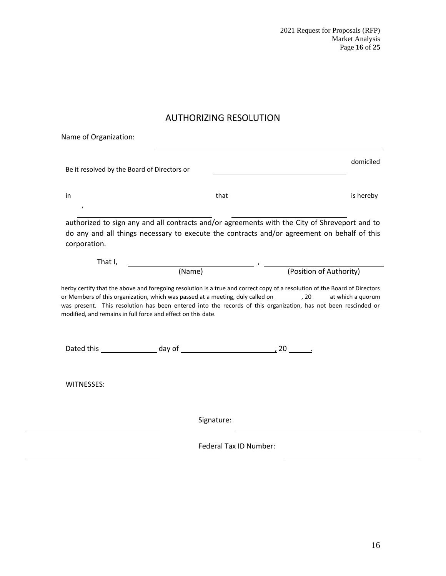2021 Request for Proposals (RFP) Market Analysis Page **16** of **25**

# AUTHORIZING RESOLUTION

|                                                                                                                                                                                                                                                            |        |                                                                                                                                  | domiciled                                                                                                                                                                                                                                    |
|------------------------------------------------------------------------------------------------------------------------------------------------------------------------------------------------------------------------------------------------------------|--------|----------------------------------------------------------------------------------------------------------------------------------|----------------------------------------------------------------------------------------------------------------------------------------------------------------------------------------------------------------------------------------------|
| Name of Organization:<br>Be it resolved by the Board of Directors or<br>$\prime$<br>do any and all things necessary to execute the contracts and/or agreement on behalf of this<br>That I,<br>modified, and remains in full force and effect on this date. |        |                                                                                                                                  |                                                                                                                                                                                                                                              |
| in                                                                                                                                                                                                                                                         |        | that                                                                                                                             | is hereby                                                                                                                                                                                                                                    |
|                                                                                                                                                                                                                                                            |        |                                                                                                                                  |                                                                                                                                                                                                                                              |
|                                                                                                                                                                                                                                                            |        |                                                                                                                                  | authorized to sign any and all contracts and/or agreements with the City of Shreveport and to                                                                                                                                                |
|                                                                                                                                                                                                                                                            |        |                                                                                                                                  |                                                                                                                                                                                                                                              |
| corporation.                                                                                                                                                                                                                                               |        |                                                                                                                                  |                                                                                                                                                                                                                                              |
|                                                                                                                                                                                                                                                            |        |                                                                                                                                  |                                                                                                                                                                                                                                              |
|                                                                                                                                                                                                                                                            |        | $\overline{\phantom{a}}$ , and the set of $\overline{\phantom{a}}$ , and $\overline{\phantom{a}}$ , and $\overline{\phantom{a}}$ |                                                                                                                                                                                                                                              |
|                                                                                                                                                                                                                                                            | (Name) |                                                                                                                                  | (Position of Authority)                                                                                                                                                                                                                      |
|                                                                                                                                                                                                                                                            |        |                                                                                                                                  | herby certify that the above and foregoing resolution is a true and correct copy of a resolution of the Board of Directors<br>was present. This resolution has been entered into the records of this organization, has not been rescinded or |
|                                                                                                                                                                                                                                                            |        |                                                                                                                                  |                                                                                                                                                                                                                                              |
|                                                                                                                                                                                                                                                            |        |                                                                                                                                  |                                                                                                                                                                                                                                              |
| <b>WITNESSES:</b>                                                                                                                                                                                                                                          |        |                                                                                                                                  |                                                                                                                                                                                                                                              |
|                                                                                                                                                                                                                                                            |        |                                                                                                                                  |                                                                                                                                                                                                                                              |
|                                                                                                                                                                                                                                                            |        | Signature:                                                                                                                       |                                                                                                                                                                                                                                              |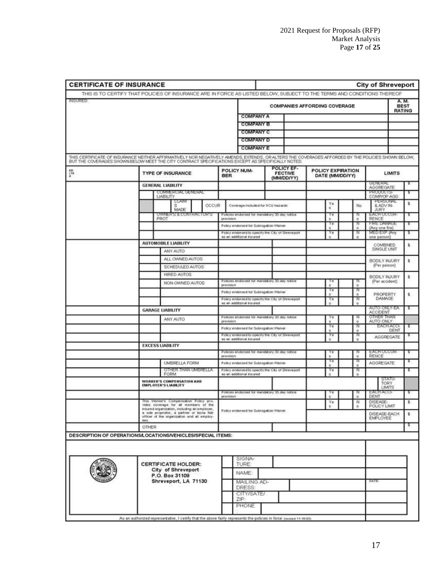| <b>CERTIFICATE OF INSURANCE</b> |                                                                                                                                                                                                                                                        |                                                            |                                                   |                                      |               | <b>City of Shreveport</b>       |                              |
|---------------------------------|--------------------------------------------------------------------------------------------------------------------------------------------------------------------------------------------------------------------------------------------------------|------------------------------------------------------------|---------------------------------------------------|--------------------------------------|---------------|---------------------------------|------------------------------|
| <b>INSURED:</b>                 | THIS IS TO CERTIFY THAT POLICIES OF INSURANCE ARE IN FORCE AS LISTED BELOW, SUBJECT TO THE TERMS AND CONDITIONS THEREOF                                                                                                                                |                                                            |                                                   |                                      |               |                                 | A. M.                        |
|                                 |                                                                                                                                                                                                                                                        |                                                            |                                                   | <b>COMPANIES AFFORDING COVERAGE</b>  |               |                                 | <b>BEST</b><br><b>RATING</b> |
|                                 |                                                                                                                                                                                                                                                        | <b>COMPANY A</b>                                           |                                                   |                                      |               |                                 |                              |
|                                 |                                                                                                                                                                                                                                                        | <b>COMPANY B</b>                                           |                                                   |                                      |               |                                 |                              |
|                                 |                                                                                                                                                                                                                                                        | <b>COMPANY C</b>                                           |                                                   |                                      |               |                                 |                              |
|                                 |                                                                                                                                                                                                                                                        | <b>COMPANY D</b>                                           |                                                   |                                      |               |                                 |                              |
|                                 |                                                                                                                                                                                                                                                        | <b>COMPANY E</b>                                           |                                                   |                                      |               |                                 |                              |
|                                 | THIS CERTIFICATE OF INSURANCE NEITHER AFFIRMATIVELY NOR NEGATIVELY AMENDS, EXTENDS, OR ALTERS THE COVERAGES AFFORDED BY THE POLICIES SHOWN BELOW,<br>BUT THE COVERAGES SHOWN BELOW MEET THE CITY CONTRACT SPECIFICATIONS EXCEPT AS SPECIFICALLY NOTED. |                                                            |                                                   |                                      |               |                                 |                              |
|                                 | <b>TYPE OF INSURANCE</b>                                                                                                                                                                                                                               | POLICY NUM-<br><b>BER</b>                                  | POLICY EF-<br><b>FECTIVE</b><br>(MM/DD/YY)        | POLICY EXPIRATION<br>DATE (MM/DD/YY) |               | <b>LIMITS</b>                   |                              |
|                                 | <b>GENERAL LIABILITY</b>                                                                                                                                                                                                                               |                                                            |                                                   |                                      |               | GENERAL<br><b>AGGREGATE</b>     |                              |
|                                 | COMMERCIAL GENERAL                                                                                                                                                                                                                                     |                                                            |                                                   |                                      |               | <b>PRODUCTS</b>                 |                              |
|                                 | <b>LIABILITY</b><br>CLAIM                                                                                                                                                                                                                              |                                                            |                                                   |                                      |               | COMP/OP AGG<br><b>PERSONAL</b>  |                              |
|                                 | OCCUR<br>s<br>MADE                                                                                                                                                                                                                                     | Coverage included for XCU hazards                          |                                                   | Ye<br>s                              | No            | & ADV IN-<br><b>JURY</b>        | \$                           |
|                                 | <b>OWNER'S &amp; CONTRACTOR'S</b>                                                                                                                                                                                                                      | Policies endorsed for mandatory 30 day notice              |                                                   | Υø                                   |               | <b>EACH OCCUR</b>               |                              |
|                                 | PROT                                                                                                                                                                                                                                                   | provision                                                  |                                                   | s.<br>Υe                             | $\alpha$      | RENCE<br><b>FIRE DAMAGE</b>     | ٠                            |
|                                 |                                                                                                                                                                                                                                                        | Policy endorsed for Subrogation Waiver                     | Policy endorsed to specify the Cty of Shreveport  | s                                    | $\alpha$      | (Any one fire)<br>MED EXP (Any  |                              |
|                                 |                                                                                                                                                                                                                                                        | as an additional insured                                   |                                                   | Ye<br>÷                              | ó             | one person)                     | ъ                            |
|                                 | AUTOMOBILE LIABILITY                                                                                                                                                                                                                                   |                                                            |                                                   |                                      |               | <b>COMBINED</b>                 | \$                           |
|                                 | ANY AUTO                                                                                                                                                                                                                                               |                                                            |                                                   |                                      |               | SINGLE UNIT                     |                              |
|                                 | ALL OWNED AUTOS                                                                                                                                                                                                                                        |                                                            |                                                   |                                      |               | BODILY INJURY                   | \$                           |
|                                 | SCHEDULED AUTOS                                                                                                                                                                                                                                        |                                                            |                                                   |                                      |               | (Per person)                    |                              |
|                                 | <b>HIRED AUTOS</b>                                                                                                                                                                                                                                     |                                                            |                                                   |                                      |               | BODILY INJURY                   |                              |
|                                 | NON-OWNED AUTOS                                                                                                                                                                                                                                        | Policies endorsed for mandatory 30 day notice              |                                                   |                                      |               | (Per accident)                  | \$                           |
|                                 |                                                                                                                                                                                                                                                        | provision                                                  |                                                   | Υë                                   | $\Omega$      |                                 |                              |
|                                 |                                                                                                                                                                                                                                                        | Policy endorsed for Subrogation Waiver                     |                                                   |                                      | $\alpha$      | PROPERTY<br><b>DAMAGE</b>       | \$.                          |
|                                 |                                                                                                                                                                                                                                                        | as an additional insured                                   | Policy endorsed to specify the City of Streveport | Ye                                   | 'N<br>ö       |                                 |                              |
|                                 | <b>GARAGE LIABILITY</b>                                                                                                                                                                                                                                |                                                            |                                                   |                                      |               | AUTO ONLY-EA<br><b>ACCIDENT</b> | s                            |
|                                 | ANY AUTO                                                                                                                                                                                                                                               | Policies endorsed for mandatory 30 day notice              |                                                   |                                      |               | OTHER THAN                      |                              |
|                                 |                                                                                                                                                                                                                                                        | provision                                                  |                                                   | Ye                                   | o<br>'N       | AUTO ONLY<br>EACH ACCI-         | ъ                            |
|                                 |                                                                                                                                                                                                                                                        | Policy endorsed for Subrogation Waiver                     | Policy endorsed to specify the City of Shreveport | s.<br>Υø                             | $\Omega$      | DENT                            |                              |
|                                 |                                                                                                                                                                                                                                                        | as an additional insured                                   |                                                   | ÷                                    | $\alpha$      | <b>AGGREGATE</b>                |                              |
|                                 | <b>EXCESS LIABILITY</b>                                                                                                                                                                                                                                |                                                            |                                                   |                                      |               |                                 |                              |
|                                 |                                                                                                                                                                                                                                                        | Policies endorsed for mandatory 30 day notice<br>provision |                                                   | s                                    | $\alpha$      | <b>EACH OCCUM</b><br>RENCE      | ъ                            |
|                                 | UMBRELLA FORM                                                                                                                                                                                                                                          | Policy endorsed for Subrogation Waiver                     |                                                   | Υe                                   |               | <b>AGGREGATE</b>                | ъ                            |
|                                 | OTHER THAN UMBRELLA                                                                                                                                                                                                                                    |                                                            | Policy endorsed to specify the City of Shreveport | s.<br>Ye                             | $\alpha$<br>w |                                 | s                            |
|                                 | FORM                                                                                                                                                                                                                                                   | as an additional insured                                   |                                                   | s                                    | ö             |                                 |                              |
|                                 | WORKER'S COMPENSATION AND<br>EMPLOYER'S LIABILITY                                                                                                                                                                                                      |                                                            |                                                   |                                      |               | STATU-<br><b>TORY</b>           |                              |
|                                 |                                                                                                                                                                                                                                                        | Policies endorsed for mandatory 30 day notice              |                                                   |                                      |               | LIMITS<br><b>EACH ACC</b>       | ъ                            |
|                                 | This Worker's Compensation Policy pro-                                                                                                                                                                                                                 | provision                                                  |                                                   |                                      | $\alpha$      | <b>DENT</b>                     |                              |
|                                 | vides coverage for all members of the                                                                                                                                                                                                                  |                                                            |                                                   | Ye                                   | N             | <b>DISEASE-</b><br>POLICY LIMIT | s                            |
|                                 | insured organization, including an employer,<br>a sole proprietor, a partner or bona fide<br>officer of the organization and all employ-<br>教育生                                                                                                        | Policy endorsed for Subrogation Walver.                    |                                                   |                                      |               | DISEASE-EACH<br>EMPLOYEE        | \$                           |
|                                 | <b>OTHER</b>                                                                                                                                                                                                                                           |                                                            |                                                   |                                      |               |                                 | s                            |
|                                 | DESCRIPTION OF OPERATIONS/LOCATIONS/VEHICLES/SPECIAL ITEMS:                                                                                                                                                                                            |                                                            |                                                   |                                      |               |                                 |                              |
|                                 |                                                                                                                                                                                                                                                        |                                                            |                                                   |                                      |               |                                 |                              |
|                                 |                                                                                                                                                                                                                                                        |                                                            |                                                   |                                      |               |                                 |                              |
|                                 |                                                                                                                                                                                                                                                        |                                                            |                                                   |                                      |               |                                 |                              |
|                                 | <b>CERTIFICATE HOLDER:</b>                                                                                                                                                                                                                             | SIGNA-<br>TURE:                                            |                                                   |                                      |               |                                 |                              |
|                                 | City of Shreveport                                                                                                                                                                                                                                     | NAME:                                                      |                                                   |                                      |               |                                 |                              |
|                                 | P.O. Box 31109                                                                                                                                                                                                                                         |                                                            |                                                   |                                      |               |                                 |                              |
|                                 | Shreveport, LA 71130                                                                                                                                                                                                                                   | MAILING AD-<br>DRESS:                                      |                                                   |                                      |               | DATE:                           |                              |
|                                 |                                                                                                                                                                                                                                                        | CITY/SATE/                                                 |                                                   |                                      |               |                                 |                              |
|                                 |                                                                                                                                                                                                                                                        | ZIP:                                                       |                                                   |                                      |               |                                 |                              |
|                                 |                                                                                                                                                                                                                                                        | PHONE                                                      |                                                   |                                      |               |                                 |                              |
|                                 |                                                                                                                                                                                                                                                        |                                                            |                                                   |                                      |               |                                 |                              |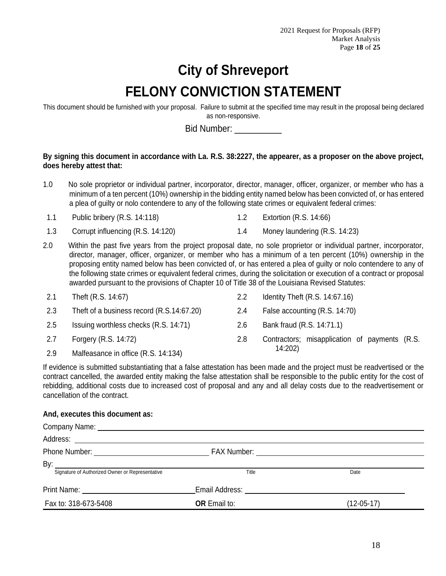# **City of Shreveport FELONY CONVICTION STATEMENT**

This document should be furnished with your proposal. Failure to submit at the specified time may result in the proposal being declared as non-responsive.

Bid Number: \_\_\_\_\_\_\_\_\_\_

## **By signing this document in accordance with La. R.S. 38:2227, the appearer, as a proposer on the above project, does hereby attest that:**

- 1.0 No sole proprietor or individual partner, incorporator, director, manager, officer, organizer, or member who has a minimum of a ten percent (10%) ownership in the bidding entity named below has been convicted of, or has entered a plea of guilty or nolo contendere to any of the following state crimes or equivalent federal crimes:
- 1.1 Public bribery (R.S. 14:118) 1.2 Extortion (R.S. 14:66)
- 1.3 Corrupt influencing (R.S. 14:120) 1.4 Money laundering (R.S. 14:23)
- 2.0 Within the past five years from the project proposal date, no sole proprietor or individual partner, incorporator, director, manager, officer, organizer, or member who has a minimum of a ten percent (10%) ownership in the proposing entity named below has been convicted of, or has entered a plea of guilty or nolo contendere to any of the following state crimes or equivalent federal crimes, during the solicitation or execution of a contract or proposal awarded pursuant to the provisions of Chapter 10 of Title 38 of the Louisiana Revised Statutes:

| 2.1 | Theft (R.S. 14:67)                        | $2.2\phantom{0}$ | Identity Theft $(R.S. 14:67.16)$              |
|-----|-------------------------------------------|------------------|-----------------------------------------------|
| 2.3 | Theft of a business record (R.S.14:67.20) | 2.4              | False accounting (R.S. 14:70)                 |
| 2.5 | Issuing worthless checks (R.S. 14:71)     | 2.6              | Bank fraud (R.S. 14:71.1)                     |
| 2.7 | Forgery (R.S. 14:72)                      | 2.8              | Contractors; misapplication of payments (R.S. |
| 2.9 | Malfeasance in office (R.S. 14:134)       |                  | 14:202)                                       |

If evidence is submitted substantiating that a false attestation has been made and the project must be readvertised or the contract cancelled, the awarded entity making the false attestation shall be responsible to the public entity for the cost of rebidding, additional costs due to increased cost of proposal and any and all delay costs due to the readvertisement or cancellation of the contract.

## **And, executes this document as:**

| Address:<br><u> 1989 - Andrea State Barbara, política establecera en la contrada de la contrada de la contrada de la contrada</u> |                     |            |
|-----------------------------------------------------------------------------------------------------------------------------------|---------------------|------------|
|                                                                                                                                   |                     |            |
| By:                                                                                                                               |                     |            |
| Signature of Authorized Owner or Representative                                                                                   | Title               | Date       |
| Print Name:<br><u> 1980 - Jan Stein Berlin, amerikan berlin bes</u>                                                               | Email Address:      |            |
| Fax to: 318-673-5408                                                                                                              | <b>OR</b> Email to: | (12-05-17) |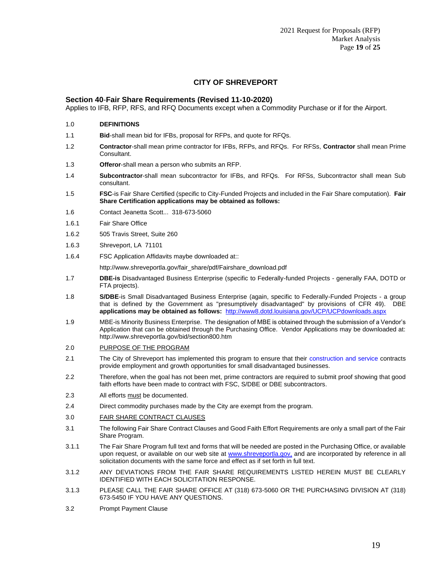## **CITY OF SHREVEPORT**

#### **Section 40**-**Fair Share Requirements (Revised 11-10-2020)**

Applies to IFB, RFP, RFS, and RFQ Documents except when a Commodity Purchase or if for the Airport.

- 1.0 **DEFINITIONS**
- 1.1 **Bid**-shall mean bid for IFBs, proposal for RFPs, and quote for RFQs.
- 1.2 **Contractor**-shall mean prime contractor for IFBs, RFPs, and RFQs. For RFSs, **Contractor** shall mean Prime Consultant.
- 1.3 **Offeror**-shall mean a person who submits an RFP.
- 1.4 **Subcontractor**-shall mean subcontractor for IFBs, and RFQs. For RFSs, Subcontractor shall mean Sub consultant.
- 1.5 **FSC**-is Fair Share Certified (specific to City-Funded Projects and included in the Fair Share computation). **Fair Share Certification applications may be obtained as follows:**
- 1.6 Contact Jeanetta Scott... 318-673-5060
- 1.6.1 Fair Share Office
- 1.6.2 505 Travis Street, Suite 260
- 1.6.3 Shreveport, LA 71101
- 1.6.4 FSC Application Affidavits maybe downloaded at::

http://www.shreveportla.gov/fair\_share/pdf/Fairshare\_download.pdf

- 1.7 **DBE-is** Disadvantaged Business Enterprise (specific to Federally-funded Projects generally FAA, DOTD or FTA projects).
- 1.8 **S/DBE**-is Small Disadvantaged Business Enterprise (again, specific to Federally-Funded Projects a group that is defined by the Government as "presumptively disadvantaged" by provisions of CFR 49).DBE **applications may be obtained as follows:** http://www8.dotd.louisiana.gov/UCP/UCPdownloads.aspx
- 1.9 MBE-is Minority Business Enterprise. The designation of MBE is obtained through the submission of a Vendor's Application that can be obtained through the Purchasing Office. Vendor Applications may be downloaded at: http://www.shreveportla.gov/bid/section800.htm
- 2.0 PURPOSE OF THE PROGRAM
- 2.1 The City of Shreveport has implemented this program to ensure that their construction and service contracts provide employment and growth opportunities for small disadvantaged businesses.
- 2.2 Therefore, when the goal has not been met, prime contractors are required to submit proof showing that good faith efforts have been made to contract with FSC, S/DBE or DBE subcontractors.
- 2.3 All efforts must be documented.
- 2.4 Direct commodity purchases made by the City are exempt from the program.
- 3.0 FAIR SHARE CONTRACT CLAUSES
- 3.1 The following Fair Share Contract Clauses and Good Faith Effort Requirements are only a small part of the Fair Share Program.
- 3.1.1 The Fair Share Program full text and forms that will be needed are posted in the Purchasing Office, or available upon request, or available on our web site at www.shreveportla.gov, and are incorporated by reference in all solicitation documents with the same force and effect as if set forth in full text.
- 3.1.2 ANY DEVIATIONS FROM THE FAIR SHARE REQUIREMENTS LISTED HEREIN MUST BE CLEARLY IDENTIFIED WITH EACH SOLICITATION RESPONSE.
- 3.1.3 PLEASE CALL THE FAIR SHARE OFFICE AT (318) 673-5060 OR THE PURCHASING DIVISION AT (318) 673-5450 IF YOU HAVE ANY QUESTIONS.
- 3.2 Prompt Payment Clause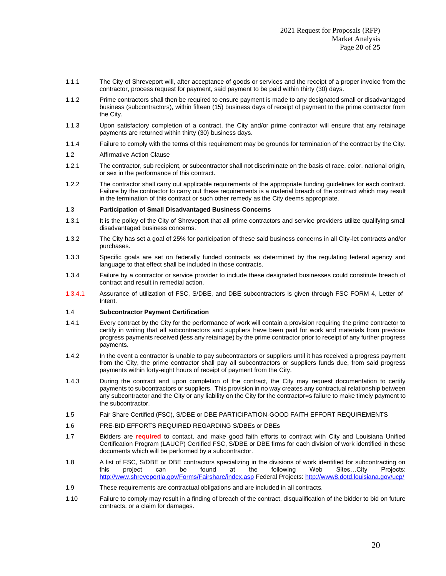- 1.1.1 The City of Shreveport will, after acceptance of goods or services and the receipt of a proper invoice from the contractor, process request for payment, said payment to be paid within thirty (30) days.
- 1.1.2 Prime contractors shall then be required to ensure payment is made to any designated small or disadvantaged business (subcontractors), within fifteen (15) business days of receipt of payment to the prime contractor from the City.
- 1.1.3 Upon satisfactory completion of a contract, the City and/or prime contractor will ensure that any retainage payments are returned within thirty (30) business days.
- 1.1.4 Failure to comply with the terms of this requirement may be grounds for termination of the contract by the City.

#### 1.2 Affirmative Action Clause

- 1.2.1 The contractor, sub recipient, or subcontractor shall not discriminate on the basis of race, color, national origin, or sex in the performance of this contract.
- 1.2.2 The contractor shall carry out applicable requirements of the appropriate funding guidelines for each contract. Failure by the contractor to carry out these requirements is a material breach of the contract which may result in the termination of this contract or such other remedy as the City deems appropriate.

#### 1.3 **Participation of Small Disadvantaged Business Concerns**

- 1.3.1 It is the policy of the City of Shreveport that all prime contractors and service providers utilize qualifying small disadvantaged business concerns.
- 1.3.2 The City has set a goal of 25% for participation of these said business concerns in all City-let contracts and/or purchases.
- 1.3.3 Specific goals are set on federally funded contracts as determined by the regulating federal agency and language to that effect shall be included in those contracts.
- 1.3.4 Failure by a contractor or service provider to include these designated businesses could constitute breach of contract and result in remedial action.
- 1.3.4.1 Assurance of utilization of FSC, S/DBE, and DBE subcontractors is given through FSC FORM 4, Letter of Intent.

#### 1.4 **Subcontractor Payment Certification**

- 1.4.1 Every contract by the City for the performance of work will contain a provision requiring the prime contractor to certify in writing that all subcontractors and suppliers have been paid for work and materials from previous progress payments received (less any retainage) by the prime contractor prior to receipt of any further progress payments.
- 1.4.2 In the event a contractor is unable to pay subcontractors or suppliers until it has received a progress payment from the City, the prime contractor shall pay all subcontractors or suppliers funds due, from said progress payments within forty-eight hours of receipt of payment from the City.
- 1.4.3 During the contract and upon completion of the contract, the City may request documentation to certify payments to subcontractors or suppliers. This provision in no way creates any contractual relationship between any subcontractor and the City or any liability on the City for the contractor=s failure to make timely payment to the subcontractor.
- 1.5 Fair Share Certified (FSC), S/DBE or DBE PARTICIPATION-GOOD FAITH EFFORT REQUIREMENTS
- 1.6 PRE-BID EFFORTS REQUIRED REGARDING S/DBEs or DBEs
- 1.7 Bidders are **required** to contact, and make good faith efforts to contract with City and Louisiana Unified Certification Program (LAUCP) Certified FSC, S/DBE or DBE firms for each division of work identified in these documents which will be performed by a subcontractor.
- 1.8 A list of FSC, S/DBE or DBE contractors specializing in the divisions of work identified for subcontracting on this project can be found at the following Web Sites…City Projects: http://www.shreveportla.gov/Forms/Fairshare/index.asp Federal Projects: http://www8.dotd.louisiana.gov/ucp/
- 1.9 These requirements are contractual obligations and are included in all contracts.
- 1.10 Failure to comply may result in a finding of breach of the contract, disqualification of the bidder to bid on future contracts, or a claim for damages.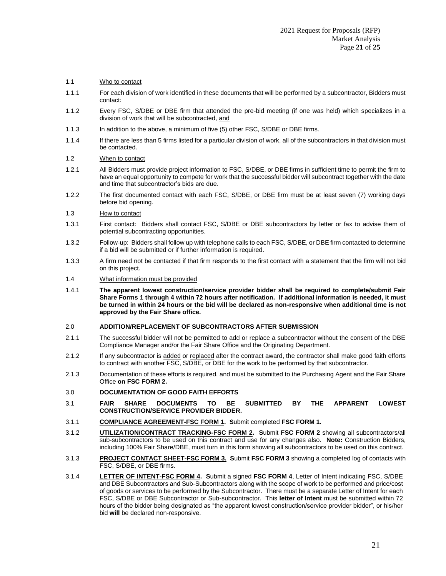#### 1.1 Who to contact

- 1.1.1 For each division of work identified in these documents that will be performed by a subcontractor, Bidders must contact:
- 1.1.2 Every FSC, S/DBE or DBE firm that attended the pre-bid meeting (if one was held) which specializes in a division of work that will be subcontracted, and
- 1.1.3 In addition to the above, a minimum of five (5) other FSC, S/DBE or DBE firms.
- 1.1.4 If there are less than 5 firms listed for a particular division of work, all of the subcontractors in that division must be contacted.

#### 1.2 When to contact

- 1.2.1 All Bidders must provide project information to FSC, S/DBE, or DBE firms in sufficient time to permit the firm to have an equal opportunity to compete for work that the successful bidder will subcontract together with the date and time that subcontractor's bids are due.
- 1.2.2 The first documented contact with each FSC, S/DBE, or DBE firm must be at least seven (7) working days before bid opening.
- 1.3 How to contact
- 1.3.1 First contact: Bidders shall contact FSC, S/DBE or DBE subcontractors by letter or fax to advise them of potential subcontracting opportunities.
- 1.3.2 Follow-up: Bidders shall follow up with telephone calls to each FSC, S/DBE, or DBE firm contacted to determine if a bid will be submitted or if further information is required.
- 1.3.3 A firm need not be contacted if that firm responds to the first contact with a statement that the firm will not bid on this project.
- 1.4 What information must be provided
- 1.4.1 **The apparent lowest construction/service provider bidder shall be required to complete/submit Fair Share Forms 1 through 4 within 72 hours after notification. If additional information is needed, it must be turned in within 24 hours or the bid will be declared as non-responsive when additional time is not approved by the Fair Share office.**

#### 2.0 **ADDITION/REPLACEMENT OF SUBCONTRACTORS AFTER SUBMISSION**

- 2.1.1 The successful bidder will not be permitted to add or replace a subcontractor without the consent of the DBE Compliance Manager and/or the Fair Share Office and the Originating Department.
- 2.1.2 If any subcontractor is added or replaced after the contract award, the contractor shall make good faith efforts to contract with another FSC, S/DBE, or DBE for the work to be performed by that subcontractor.
- 2.1.3 Documentation of these efforts is required, and must be submitted to the Purchasing Agent and the Fair Share Office **on FSC FORM 2.**

#### 3.0 **DOCUMENTATION OF GOOD FAITH EFFORTS**

- 3.1 **FAIR SHARE DOCUMENTS TO BE SUBMITTED BY THE APPARENT LOWEST CONSTRUCTION/SERVICE PROVIDER BIDDER.**
- 3.1.1 **COMPLIANCE AGREEMENT-FSC FORM 1. S**ubmit completed **FSC FORM 1.**
- 3.1.2 **UTILIZATION/CONTRACT TRACKING-FSC FORM 2. S**ubmit **FSC FORM 2** showing all subcontractors/all sub-subcontractors to be used on this contract and use for any changes also. **Note:** Construction Bidders, including 100% Fair Share/DBE, must turn in this form showing all subcontractors to be used on this contract.
- 3.1.3 **PROJECT CONTACT SHEET-FSC FORM 3. S**ubmit **FSC FORM 3** showing a completed log of contacts with FSC, S/DBE, or DBE firms.
- 3.1.4 **LETTER OF INTENT-FSC FORM 4. S**ubmit a signed **FSC FORM 4**, Letter of Intent indicating FSC, S/DBE and DBE Subcontractors and Sub-Subcontractors along with the scope of work to be performed and price/cost of goods or services to be performed by the Subcontractor. There must be a separate Letter of Intent for each FSC, S/DBE or DBE Subcontractor or Sub-subcontractor. This **letter of Intent** must be submitted within 72 hours of the bidder being designated as "the apparent lowest construction/service provider bidder", or his/her bid **will** be declared non-responsive.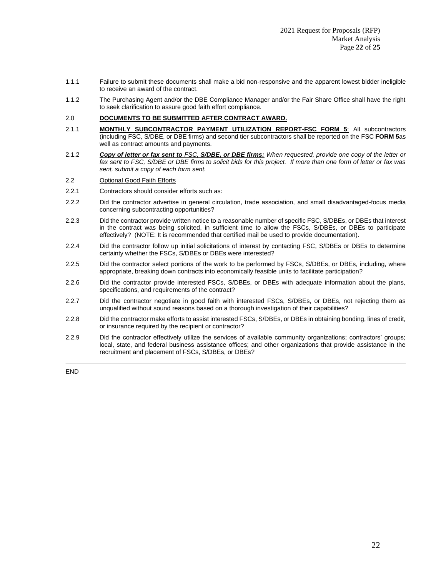- 1.1.1 Failure to submit these documents shall make a bid non-responsive and the apparent lowest bidder ineligible to receive an award of the contract.
- 1.1.2 The Purchasing Agent and/or the DBE Compliance Manager and/or the Fair Share Office shall have the right to seek clarification to assure good faith effort compliance.

#### 2.0 **DOCUMENTS TO BE SUBMITTED AFTER CONTRACT AWARD.**

- 2.1.1 **MONTHLY SUBCONTRACTOR PAYMENT UTILIZATION REPORT-FSC FORM 5**: All subcontractors (including FSC, S/DBE, or DBE firms) and second tier subcontractors shall be reported on the FSC **FORM 5**as well as contract amounts and payments.
- 2.1.2 *Copy of letter or fax sent to FSC, S/DBE, or DBE firms: When requested, provide one copy of the letter or fax sent to FSC, S/DBE or DBE firms to solicit bids for this project. If more than one form of letter or fax was sent, submit a copy of each form sent.*
- 2.2 Optional Good Faith Efforts
- 2.2.1 Contractors should consider efforts such as:
- 2.2.2 Did the contractor advertise in general circulation, trade association, and small disadvantaged-focus media concerning subcontracting opportunities?
- 2.2.3 Did the contractor provide written notice to a reasonable number of specific FSC, S/DBEs, or DBEs that interest in the contract was being solicited, in sufficient time to allow the FSCs, S/DBEs, or DBEs to participate effectively? (NOTE: It is recommended that certified mail be used to provide documentation).
- 2.2.4 Did the contractor follow up initial solicitations of interest by contacting FSC, S/DBEs or DBEs to determine certainty whether the FSCs, S/DBEs or DBEs were interested?
- 2.2.5 Did the contractor select portions of the work to be performed by FSCs, S/DBEs, or DBEs, including, where appropriate, breaking down contracts into economically feasible units to facilitate participation?
- 2.2.6 Did the contractor provide interested FSCs, S/DBEs, or DBEs with adequate information about the plans, specifications, and requirements of the contract?
- 2.2.7 Did the contractor negotiate in good faith with interested FSCs, S/DBEs, or DBEs, not rejecting them as unqualified without sound reasons based on a thorough investigation of their capabilities?
- 2.2.8 Did the contractor make efforts to assist interested FSCs, S/DBEs, or DBEs in obtaining bonding, lines of credit, or insurance required by the recipient or contractor?
- 2.2.9 Did the contractor effectively utilize the services of available community organizations; contractors' groups; local, state, and federal business assistance offices; and other organizations that provide assistance in the recruitment and placement of FSCs, S/DBEs, or DBEs?

END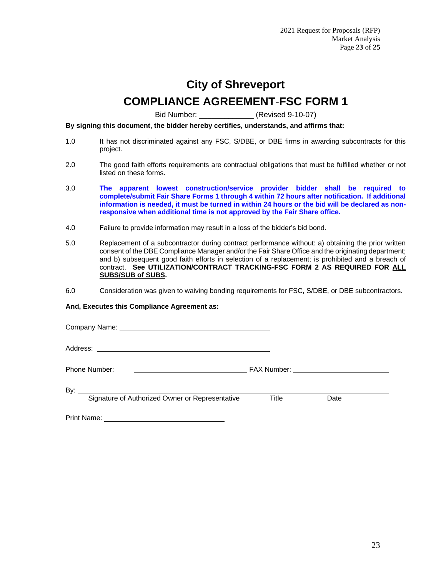# **City of Shreveport**

# **COMPLIANCE AGREEMENT**-**FSC FORM 1**

Bid Number: (Revised 9-10-07)

**By signing this document, the bidder hereby certifies, understands, and affirms that:**

- 1.0 It has not discriminated against any FSC, S/DBE, or DBE firms in awarding subcontracts for this project.
- 2.0 The good faith efforts requirements are contractual obligations that must be fulfilled whether or not listed on these forms.
- 3.0 **The apparent lowest construction/service provider bidder shall be required to complete/submit Fair Share Forms 1 through 4 within 72 hours after notification. If additional information is needed, it must be turned in within 24 hours or the bid will be declared as nonresponsive when additional time is not approved by the Fair Share office.**
- 4.0 Failure to provide information may result in a loss of the bidder's bid bond.
- 5.0 Replacement of a subcontractor during contract performance without: a) obtaining the prior written consent of the DBE Compliance Manager and/or the Fair Share Office and the originating department; and b) subsequent good faith efforts in selection of a replacement; is prohibited and a breach of contract. **See UTILIZATION/CONTRACT TRACKING-FSC FORM 2 AS REQUIRED FOR ALL SUBS/SUB of SUBS.**
- 6.0 Consideration was given to waiving bonding requirements for FSC, S/DBE, or DBE subcontractors.

### **And, Executes this Compliance Agreement as:**

| Phone Number:<br><u>and the contract of the contract of the contract of the contract of the contract of the contract of the contract of the contract of the contract of the contract of the contract of the contract of the contract of the contr</u> | FAX Number: _________________________ |      |
|-------------------------------------------------------------------------------------------------------------------------------------------------------------------------------------------------------------------------------------------------------|---------------------------------------|------|
| By:<br>Signature of Authorized Owner or Representative                                                                                                                                                                                                | Title                                 | Date |
| Print Name:                                                                                                                                                                                                                                           |                                       |      |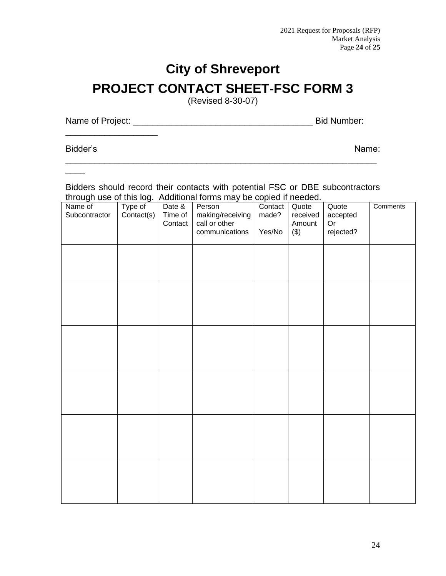# **City of Shreveport PROJECT CONTACT SHEET-FSC FORM 3**

(Revised 8-30-07)

Name of Project: \_\_\_\_\_\_\_\_\_\_\_\_\_\_\_\_\_\_\_\_\_\_\_\_\_\_\_\_\_\_\_\_\_\_\_\_\_ Bid Number:

\_\_\_\_\_\_\_\_\_\_\_\_\_\_\_\_\_\_\_

Bidder's Name:

 $\overline{\phantom{a}}$ 

Bidders should record their contacts with potential FSC or DBE subcontractors through use of this log. Additional forms may be copied if needed.

\_\_\_\_\_\_\_\_\_\_\_\_\_\_\_\_\_\_\_\_\_\_\_\_\_\_\_\_\_\_\_\_\_\_\_\_\_\_\_\_\_\_\_\_\_\_\_\_\_\_\_\_\_\_\_\_\_\_\_\_\_\_\_\_

| . <u>.</u><br>Name of<br>Subcontractor | <u>.</u><br>Type of<br>Contact(s) | Date &<br>Time of<br>Contact | . <del>.</del> <b>.</b><br>Person<br>making/receiving<br>call or other<br>communications | ------<br>Contact<br>made?<br>Yes/No | Quote<br>received<br>Amount<br>$(\$)$ | Quote<br>accepted<br>Or<br>rejected? | Comments |
|----------------------------------------|-----------------------------------|------------------------------|------------------------------------------------------------------------------------------|--------------------------------------|---------------------------------------|--------------------------------------|----------|
|                                        |                                   |                              |                                                                                          |                                      |                                       |                                      |          |
|                                        |                                   |                              |                                                                                          |                                      |                                       |                                      |          |
|                                        |                                   |                              |                                                                                          |                                      |                                       |                                      |          |
|                                        |                                   |                              |                                                                                          |                                      |                                       |                                      |          |
|                                        |                                   |                              |                                                                                          |                                      |                                       |                                      |          |
|                                        |                                   |                              |                                                                                          |                                      |                                       |                                      |          |